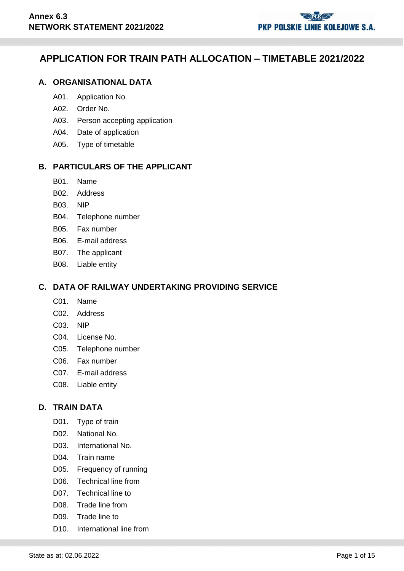# **APPLICATION FOR TRAIN PATH ALLOCATION – TIMETABLE 2021/2022**

## **A. ORGANISATIONAL DATA**

- A01. Application No.
- A02. Order No.
- A03. Person accepting application
- A04. Date of application
- A05. Type of timetable

#### **B. PARTICULARS OF THE APPLICANT**

- B01. Name
- B02. Address
- B03. NIP
- B04. Telephone number
- B05. Fax number
- B06. E-mail address
- B07. The applicant
- B08. Liable entity

## **C. DATA OF RAILWAY UNDERTAKING PROVIDING SERVICE**

- C01. Name
- C02. Address
- C03. NIP
- C04. License No.
- C05. Telephone number
- C06. Fax number
- C07. E-mail address
- C08. Liable entity

#### **D. TRAIN DATA**

- D01. Type of train
- D02. National No.
- D03. International No.
- D04. Train name
- D05. Frequency of running
- D06. Technical line from
- D07. Technical line to
- D08. Trade line from
- D09. Trade line to
- D<sub>10</sub>. International line from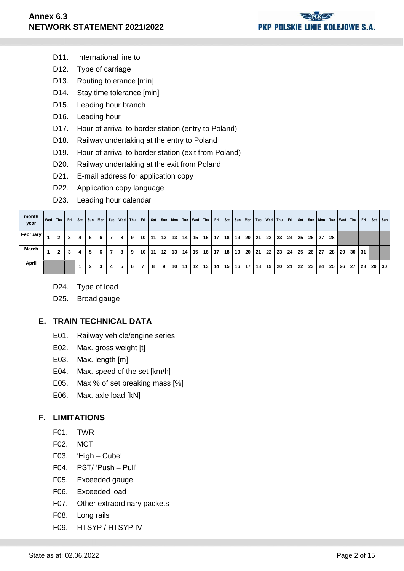- D11. International line to
- D12. Type of carriage
- D13. Routing tolerance [min]
- D14. Stay time tolerance [min]
- D15. Leading hour branch
- D16. Leading hour
- D17. Hour of arrival to border station (entry to Poland)
- D18. Railway undertaking at the entry to Poland
- D19. Hour of arrival to border station (exit from Poland)
- D20. Railway undertaking at the exit from Poland
- D21. E-mail address for application copy
- D22. Application copy language
- D23. Leading hour calendar

| month<br>year | Wed Thu      | Fri | Sat |   |   |   | Sun   Mon   Tue   Wed   Thu |   | Fri |    |                  |    |    | Sat   Sun   Mon   Tue   Wed   Thu   Fri |         |                 |    |                 | Sat Sun Mon Tue Wed Thu |           |    |                 | Fri I |                 |                 | Sat   Sun   Mon   Tue |    |    | Wed Thu | Fri | Sat | I Sun           |
|---------------|--------------|-----|-----|---|---|---|-----------------------------|---|-----|----|------------------|----|----|-----------------------------------------|---------|-----------------|----|-----------------|-------------------------|-----------|----|-----------------|-------|-----------------|-----------------|-----------------------|----|----|---------|-----|-----|-----------------|
| February      | $\mathbf{2}$ | 3   | 4   | 5 | 6 |   | 8                           | 9 | 10  | 11 | $-12$   $\ldots$ | 13 | 14 | $15 \quad 16$                           |         | 17 <sup>1</sup> | 18 | 19              |                         | $20$   21 | 22 | $ 23\rangle$    | 24    | 25 I            | 26 I            | 27                    | 28 |    |         |     |     |                 |
| <b>March</b>  | $\mathbf{2}$ | 3   | 4   | 5 | 6 | 7 | 8                           | 9 | 10  | 11 | 12 <sup>12</sup> | 13 | 14 |                                         | $15$ 16 | 17 <sup>1</sup> | 18 | 19              |                         | 20 21     | 22 | 23              | 24    | 25 <sub>1</sub> | <b>26</b> l     | 27                    | 28 | 29 | 30      | 31  |     |                 |
| April         |              |     |     | 2 | 3 | 4 | 5                           | 6 | 7   | 8  | 9                | 10 | 11 |                                         | $12$ 13 | 14 <sup>1</sup> | 15 | 16 <sup>1</sup> | 17                      | 18        | 19 | $\overline{20}$ | 121   | 22 <sub>1</sub> | 23 <sup>1</sup> | 24                    | 25 | 26 | 27      | 28  | 29  | $\overline{30}$ |

- D24. Type of load
- D25. Broad gauge

## **E. TRAIN TECHNICAL DATA**

- E01. Railway vehicle/engine series
- E02. Max. gross weight [t]
- E03. Max. length [m]
- E04. Max. speed of the set [km/h]
- E05. Max % of set breaking mass [%]
- E06. Max. axle load [kN]

## **F. LIMITATIONS**

- F01. TWR
- F02. MCT
- F03. 'High Cube'
- F04. PST/ 'Push Pull'
- F05. Exceeded gauge
- F06. Exceeded load
- F07. Other extraordinary packets
- F08. Long rails
- F09. HTSYP / HTSYP IV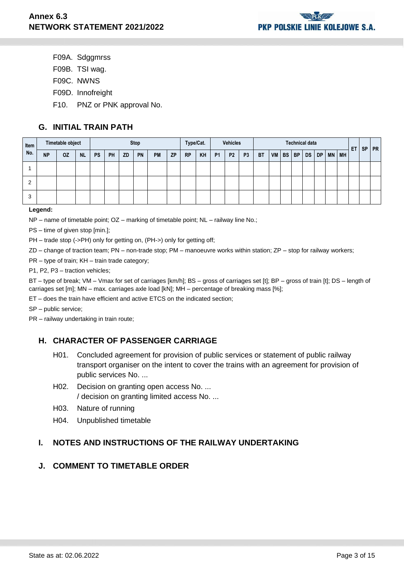- F09A. Sdggmrss
- F09B. TSI wag.
- F09C. NWNS
- F09D. Innofreight
- F10. PNZ or PNK approval No.

## **G. INITIAL TRAIN PATH**

| Item |           | Timetable object |           |           |           |           | <b>Stop</b> |           |           |           | Type/Cat. |                | <b>Vehicles</b> |                |           |       |           | <b>Technical data</b> |    |              | ET<br><b>PR</b><br><b>SP</b> |  |  |  |
|------|-----------|------------------|-----------|-----------|-----------|-----------|-------------|-----------|-----------|-----------|-----------|----------------|-----------------|----------------|-----------|-------|-----------|-----------------------|----|--------------|------------------------------|--|--|--|
| No.  | <b>NP</b> | <b>OZ</b>        | <b>NL</b> | <b>PS</b> | <b>PH</b> | <b>ZD</b> | PN          | <b>PM</b> | <b>ZP</b> | <b>RP</b> | KH        | P <sub>1</sub> | P <sub>2</sub>  | P <sub>3</sub> | <b>BT</b> | VM BS | <b>BP</b> | DS                    | DP | <b>MN MH</b> |                              |  |  |  |
|      |           |                  |           |           |           |           |             |           |           |           |           |                |                 |                |           |       |           |                       |    |              |                              |  |  |  |
| ⌒    |           |                  |           |           |           |           |             |           |           |           |           |                |                 |                |           |       |           |                       |    |              |                              |  |  |  |
| 3    |           |                  |           |           |           |           |             |           |           |           |           |                |                 |                |           |       |           |                       |    |              |                              |  |  |  |

#### **Legend:**

NP – name of timetable point; OZ – marking of timetable point; NL – railway line No.;

PS – time of given stop [min.];

PH – trade stop (->PH) only for getting on, (PH->) only for getting off;

ZD – change of traction team; PN – non-trade stop; PM – manoeuvre works within station; ZP – stop for railway workers;

PR – type of train; KH – train trade category;

P1, P2, P3 – traction vehicles;

BT – type of break; VM – Vmax for set of carriages [km/h]; BS – gross of carriages set [t]; BP – gross of train [t]; DS – length of carriages set [m]; MN – max. carriages axle load [kN]; MH – percentage of breaking mass [%];

ET – does the train have efficient and active ETCS on the indicated section;

SP – public service;

PR – railway undertaking in train route;

## **H. CHARACTER OF PASSENGER CARRIAGE**

- H01. Concluded agreement for provision of public services or statement of public railway transport organiser on the intent to cover the trains with an agreement for provision of public services No. ...
- H02. Decision on granting open access No. ... / decision on granting limited access No. ...
- H03. Nature of running
- H04. Unpublished timetable

## **I. NOTES AND INSTRUCTIONS OF THE RAILWAY UNDERTAKING**

## **J. COMMENT TO TIMETABLE ORDER**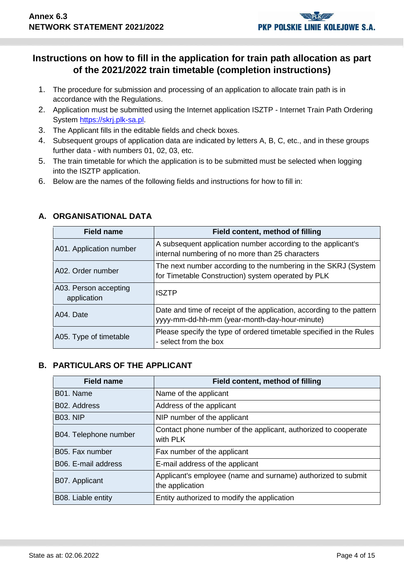# **Instructions on how to fill in the application for train path allocation as part of the 2021/2022 train timetable (completion instructions)**

- 1. The procedure for submission and processing of an application to allocate train path is in accordance with the Regulations.
- 2. Application must be submitted using the Internet application ISZTP Internet Train Path Ordering System [https://skrj.plk-sa.pl.](https://skrj.plk-sa.pl/)
- 3. The Applicant fills in the editable fields and check boxes.
- 4. Subsequent groups of application data are indicated by letters A, B, C, etc., and in these groups further data - with numbers 01, 02, 03, etc.
- 5. The train timetable for which the application is to be submitted must be selected when logging into the ISZTP application.
- 6. Below are the names of the following fields and instructions for how to fill in:

| <b>Field name</b>                    | Field content, method of filling                                                                                       |
|--------------------------------------|------------------------------------------------------------------------------------------------------------------------|
| A01. Application number              | A subsequent application number according to the applicant's<br>internal numbering of no more than 25 characters       |
| A02. Order number                    | The next number according to the numbering in the SKRJ (System<br>for Timetable Construction) system operated by PLK   |
| A03. Person accepting<br>application | <b>ISZTP</b>                                                                                                           |
| A04. Date                            | Date and time of receipt of the application, according to the pattern<br>yyyy-mm-dd-hh-mm (year-month-day-hour-minute) |
| A05. Type of timetable               | Please specify the type of ordered timetable specified in the Rules<br>- select from the box                           |

## **A. ORGANISATIONAL DATA**

## **B. PARTICULARS OF THE APPLICANT**

| <b>Field name</b>     | Field content, method of filling                                                |
|-----------------------|---------------------------------------------------------------------------------|
| B01. Name             | Name of the applicant                                                           |
| B02. Address          | Address of the applicant                                                        |
| <b>B03. NIP</b>       | NIP number of the applicant                                                     |
| B04. Telephone number | Contact phone number of the applicant, authorized to cooperate<br>with PLK      |
| B05. Fax number       | Fax number of the applicant                                                     |
| B06. E-mail address   | E-mail address of the applicant                                                 |
| B07. Applicant        | Applicant's employee (name and surname) authorized to submit<br>the application |
| B08. Liable entity    | Entity authorized to modify the application                                     |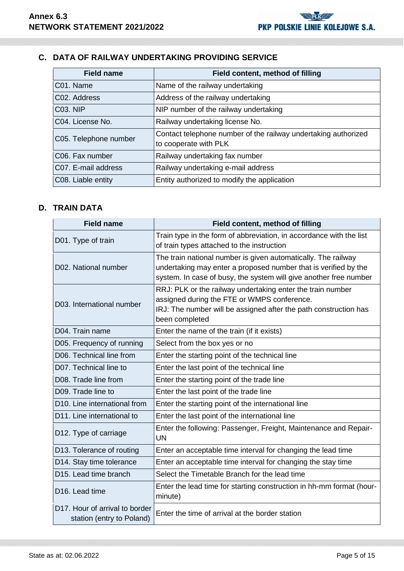# **C. DATA OF RAILWAY UNDERTAKING PROVIDING SERVICE**

| <b>Field name</b>     | <b>Field content, method of filling</b>                                                 |
|-----------------------|-----------------------------------------------------------------------------------------|
| C01. Name             | Name of the railway undertaking                                                         |
| C02. Address          | Address of the railway undertaking                                                      |
| <b>C03. NIP</b>       | NIP number of the railway undertaking                                                   |
| C04. License No.      | Railway undertaking license No.                                                         |
| C05. Telephone number | Contact telephone number of the railway undertaking authorized<br>to cooperate with PLK |
| C06. Fax number       | Railway undertaking fax number                                                          |
| C07. E-mail address   | Railway undertaking e-mail address                                                      |
| C08. Liable entity    | Entity authorized to modify the application                                             |

## **D. TRAIN DATA**

| <b>Field name</b>                                           | Field content, method of filling                                                                                                                                                                      |
|-------------------------------------------------------------|-------------------------------------------------------------------------------------------------------------------------------------------------------------------------------------------------------|
| D01. Type of train                                          | Train type in the form of abbreviation, in accordance with the list<br>of train types attached to the instruction                                                                                     |
| D02. National number                                        | The train national number is given automatically. The railway<br>undertaking may enter a proposed number that is verified by the<br>system. In case of busy, the system will give another free number |
| D03. International number                                   | RRJ: PLK or the railway undertaking enter the train number<br>assigned during the FTE or WMPS conference.<br>IRJ: The number will be assigned after the path construction has<br>been completed       |
| D04. Train name                                             | Enter the name of the train (if it exists)                                                                                                                                                            |
| D05. Frequency of running                                   | Select from the box yes or no                                                                                                                                                                         |
| D06. Technical line from                                    | Enter the starting point of the technical line                                                                                                                                                        |
| D07. Technical line to                                      | Enter the last point of the technical line                                                                                                                                                            |
| D08. Trade line from                                        | Enter the starting point of the trade line                                                                                                                                                            |
| D09. Trade line to                                          | Enter the last point of the trade line                                                                                                                                                                |
| D10. Line international from                                | Enter the starting point of the international line                                                                                                                                                    |
| D11. Line international to                                  | Enter the last point of the international line                                                                                                                                                        |
| D12. Type of carriage                                       | Enter the following: Passenger, Freight, Maintenance and Repair-<br>UN                                                                                                                                |
| D13. Tolerance of routing                                   | Enter an acceptable time interval for changing the lead time                                                                                                                                          |
| D14. Stay time tolerance                                    | Enter an acceptable time interval for changing the stay time                                                                                                                                          |
| D <sub>15</sub> . Lead time branch                          | Select the Timetable Branch for the lead time                                                                                                                                                         |
| D16. Lead time                                              | Enter the lead time for starting construction in hh-mm format (hour-<br>minute)                                                                                                                       |
| D17. Hour of arrival to border<br>station (entry to Poland) | Enter the time of arrival at the border station                                                                                                                                                       |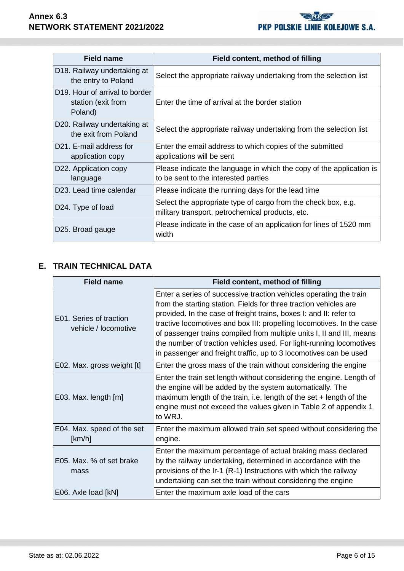| <b>Field name</b>                                                            | Field content, method of filling                                                                                  |
|------------------------------------------------------------------------------|-------------------------------------------------------------------------------------------------------------------|
| D18. Railway undertaking at<br>the entry to Poland                           | Select the appropriate railway undertaking from the selection list                                                |
| D <sub>19</sub> . Hour of arrival to border<br>station (exit from<br>Poland) | Enter the time of arrival at the border station                                                                   |
| D20. Railway undertaking at<br>the exit from Poland                          | Select the appropriate railway undertaking from the selection list                                                |
| D21. E-mail address for<br>application copy                                  | Enter the email address to which copies of the submitted<br>applications will be sent                             |
| D22. Application copy<br>language                                            | Please indicate the language in which the copy of the application is<br>to be sent to the interested parties      |
| D23. Lead time calendar                                                      | Please indicate the running days for the lead time                                                                |
| D24. Type of load                                                            | Select the appropriate type of cargo from the check box, e.g.<br>military transport, petrochemical products, etc. |
| D25. Broad gauge                                                             | Please indicate in the case of an application for lines of 1520 mm<br>width                                       |

# **E. TRAIN TECHNICAL DATA**

| <b>Field name</b>                               | Field content, method of filling                                                                                                                                                                                                                                                                                                                                                                                                                                                                            |
|-------------------------------------------------|-------------------------------------------------------------------------------------------------------------------------------------------------------------------------------------------------------------------------------------------------------------------------------------------------------------------------------------------------------------------------------------------------------------------------------------------------------------------------------------------------------------|
| E01. Series of traction<br>vehicle / locomotive | Enter a series of successive traction vehicles operating the train<br>from the starting station. Fields for three traction vehicles are<br>provided. In the case of freight trains, boxes I: and II: refer to<br>tractive locomotives and box III: propelling locomotives. In the case<br>of passenger trains compiled from multiple units I, II and III, means<br>the number of traction vehicles used. For light-running locomotives<br>in passenger and freight traffic, up to 3 locomotives can be used |
| E02. Max. gross weight [t]                      | Enter the gross mass of the train without considering the engine                                                                                                                                                                                                                                                                                                                                                                                                                                            |
| E03. Max. length [m]                            | Enter the train set length without considering the engine. Length of<br>the engine will be added by the system automatically. The<br>maximum length of the train, i.e. length of the set $+$ length of the<br>engine must not exceed the values given in Table 2 of appendix 1<br>to WRJ.                                                                                                                                                                                                                   |
| E04. Max. speed of the set<br>[km/h]            | Enter the maximum allowed train set speed without considering the<br>engine.                                                                                                                                                                                                                                                                                                                                                                                                                                |
| E05. Max. % of set brake<br>mass                | Enter the maximum percentage of actual braking mass declared<br>by the railway undertaking, determined in accordance with the<br>provisions of the Ir-1 (R-1) Instructions with which the railway<br>undertaking can set the train without considering the engine                                                                                                                                                                                                                                           |
| E06. Axle load [kN]                             | Enter the maximum axle load of the cars                                                                                                                                                                                                                                                                                                                                                                                                                                                                     |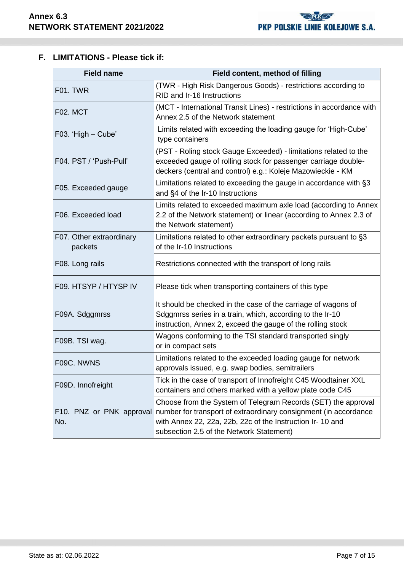# **F. LIMITATIONS - Please tick if:**

| <b>Field name</b>                   | Field content, method of filling                                                                                                                                                                                                            |
|-------------------------------------|---------------------------------------------------------------------------------------------------------------------------------------------------------------------------------------------------------------------------------------------|
| F01. TWR                            | (TWR - High Risk Dangerous Goods) - restrictions according to<br>RID and Ir-16 Instructions                                                                                                                                                 |
| F02. MCT                            | (MCT - International Transit Lines) - restrictions in accordance with<br>Annex 2.5 of the Network statement                                                                                                                                 |
| F03. 'High - Cube'                  | Limits related with exceeding the loading gauge for 'High-Cube'<br>type containers                                                                                                                                                          |
| F04. PST / 'Push-Pull'              | (PST - Roling stock Gauge Exceeded) - limitations related to the<br>exceeded gauge of rolling stock for passenger carriage double-<br>deckers (central and control) e.g.: Koleje Mazowieckie - KM                                           |
| F05. Exceeded gauge                 | Limitations related to exceeding the gauge in accordance with §3<br>and §4 of the Ir-10 Instructions                                                                                                                                        |
| F06. Exceeded load                  | Limits related to exceeded maximum axle load (according to Annex<br>2.2 of the Network statement) or linear (according to Annex 2.3 of<br>the Network statement)                                                                            |
| F07. Other extraordinary<br>packets | Limitations related to other extraordinary packets pursuant to §3<br>of the Ir-10 Instructions                                                                                                                                              |
| F08. Long rails                     | Restrictions connected with the transport of long rails                                                                                                                                                                                     |
| F09. HTSYP / HTYSP IV               | Please tick when transporting containers of this type                                                                                                                                                                                       |
| F09A. Sdggmrss                      | It should be checked in the case of the carriage of wagons of<br>Sdggmrss series in a train, which, according to the Ir-10<br>instruction, Annex 2, exceed the gauge of the rolling stock                                                   |
| F09B. TSI wag.                      | Wagons conforming to the TSI standard transported singly<br>or in compact sets                                                                                                                                                              |
| F09C. NWNS                          | Limitations related to the exceeded loading gauge for network<br>approvals issued, e.g. swap bodies, semitrailers                                                                                                                           |
| F09D. Innofreight                   | Tick in the case of transport of Innofreight C45 Woodtainer XXL<br>containers and others marked with a yellow plate code C45                                                                                                                |
| F10. PNZ or PNK approval<br>No.     | Choose from the System of Telegram Records (SET) the approval<br>number for transport of extraordinary consignment (in accordance<br>with Annex 22, 22a, 22b, 22c of the Instruction Ir- 10 and<br>subsection 2.5 of the Network Statement) |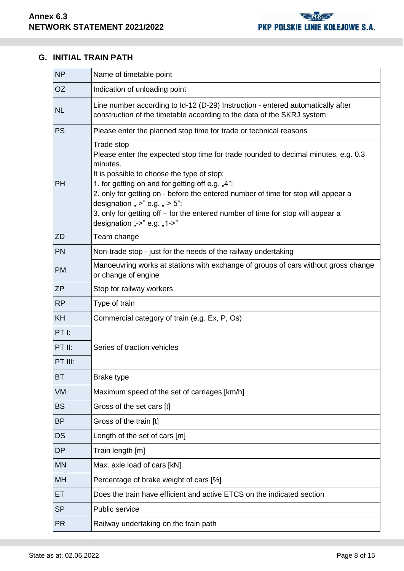# **G. INITIAL TRAIN PATH**

| <b>NP</b>                       | Name of timetable point                                                                                                                                                                                                                                                                                                                                                                                                                               |
|---------------------------------|-------------------------------------------------------------------------------------------------------------------------------------------------------------------------------------------------------------------------------------------------------------------------------------------------------------------------------------------------------------------------------------------------------------------------------------------------------|
| <b>OZ</b>                       | Indication of unloading point                                                                                                                                                                                                                                                                                                                                                                                                                         |
| <b>NL</b>                       | Line number according to Id-12 (D-29) Instruction - entered automatically after<br>construction of the timetable according to the data of the SKRJ system                                                                                                                                                                                                                                                                                             |
| <b>PS</b>                       | Please enter the planned stop time for trade or technical reasons                                                                                                                                                                                                                                                                                                                                                                                     |
| PH                              | Trade stop<br>Please enter the expected stop time for trade rounded to decimal minutes, e.g. 0.3<br>minutes.<br>It is possible to choose the type of stop:<br>1. for getting on and for getting off e.g. "4";<br>2. only for getting on - before the entered number of time for stop will appear a<br>designation "->" e.g. "-> 5";<br>3. only for getting off – for the entered number of time for stop will appear a<br>designation "->" e.g. "1->" |
| ZD                              | Team change                                                                                                                                                                                                                                                                                                                                                                                                                                           |
| PN                              | Non-trade stop - just for the needs of the railway undertaking                                                                                                                                                                                                                                                                                                                                                                                        |
| <b>PM</b>                       | Manoeuvring works at stations with exchange of groups of cars without gross change<br>or change of engine                                                                                                                                                                                                                                                                                                                                             |
| <b>ZP</b>                       | Stop for railway workers                                                                                                                                                                                                                                                                                                                                                                                                                              |
| <b>RP</b>                       | Type of train                                                                                                                                                                                                                                                                                                                                                                                                                                         |
| <b>KH</b>                       | Commercial category of train (e.g. Ex, P, Os)                                                                                                                                                                                                                                                                                                                                                                                                         |
| $PT$ $l$ :<br>PT II:<br>PT III: | Series of traction vehicles                                                                                                                                                                                                                                                                                                                                                                                                                           |
| <b>BT</b>                       | <b>Brake type</b>                                                                                                                                                                                                                                                                                                                                                                                                                                     |
| <b>VM</b>                       | Maximum speed of the set of carriages [km/h]                                                                                                                                                                                                                                                                                                                                                                                                          |
| <b>BS</b>                       | Gross of the set cars [t]                                                                                                                                                                                                                                                                                                                                                                                                                             |
| <b>BP</b>                       | Gross of the train [t]                                                                                                                                                                                                                                                                                                                                                                                                                                |
| <b>DS</b>                       | Length of the set of cars [m]                                                                                                                                                                                                                                                                                                                                                                                                                         |
| <b>DP</b>                       | Train length [m]                                                                                                                                                                                                                                                                                                                                                                                                                                      |
| <b>MN</b>                       | Max. axle load of cars [kN]                                                                                                                                                                                                                                                                                                                                                                                                                           |
| MH                              | Percentage of brake weight of cars [%]                                                                                                                                                                                                                                                                                                                                                                                                                |
| ET                              | Does the train have efficient and active ETCS on the indicated section                                                                                                                                                                                                                                                                                                                                                                                |
| <b>SP</b>                       | Public service                                                                                                                                                                                                                                                                                                                                                                                                                                        |
| <b>PR</b>                       | Railway undertaking on the train path                                                                                                                                                                                                                                                                                                                                                                                                                 |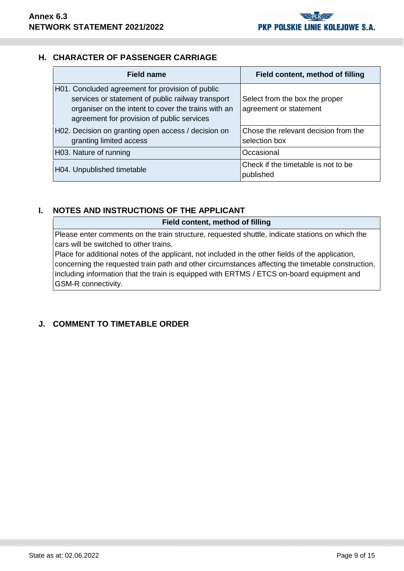## **H. CHARACTER OF PASSENGER CARRIAGE**

| <b>Field name</b>                                                                                                                                                                                          | Field content, method of filling                         |
|------------------------------------------------------------------------------------------------------------------------------------------------------------------------------------------------------------|----------------------------------------------------------|
| H01. Concluded agreement for provision of public<br>services or statement of public railway transport<br>organiser on the intent to cover the trains with an<br>agreement for provision of public services | Select from the box the proper<br>agreement or statement |
| H02. Decision on granting open access / decision on<br>granting limited access                                                                                                                             | Chose the relevant decision from the<br>selection box    |
| H03. Nature of running                                                                                                                                                                                     | Occasional                                               |
| H04. Unpublished timetable                                                                                                                                                                                 | Check if the timetable is not to be<br>published         |

## **I. NOTES AND INSTRUCTIONS OF THE APPLICANT**

**Field content, method of filling**

Please enter comments on the train structure, requested shuttle, indicate stations on which the cars will be switched to other trains.

Place for additional notes of the applicant, not included in the other fields of the application, concerning the requested train path and other circumstances affecting the timetable construction, including information that the train is equipped with ERTMS / ETCS on-board equipment and GSM-R connectivity.

# **J. COMMENT TO TIMETABLE ORDER**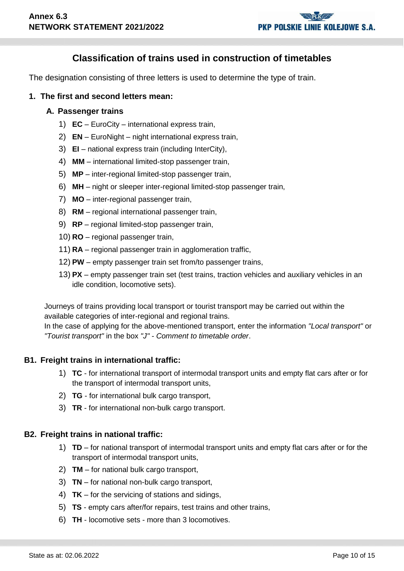# **Classification of trains used in construction of timetables**

The designation consisting of three letters is used to determine the type of train.

#### **1. The first and second letters mean:**

#### **A. Passenger trains**

- 1) **EC** EuroCity international express train,
- 2) **EN** EuroNight night international express train,
- 3) **EI** national express train (including InterCity),
- 4) **MM** international limited-stop passenger train,
- 5) **MP** inter-regional limited-stop passenger train,
- 6) **MH** night or sleeper inter-regional limited-stop passenger train,
- 7) **MO** inter-regional passenger train,
- 8) **RM** regional international passenger train,
- 9) **RP** regional limited-stop passenger train,
- 10) **RO** regional passenger train,
- 11) **RA** regional passenger train in agglomeration traffic,
- 12) **PW** empty passenger train set from/to passenger trains,
- 13) **PX** empty passenger train set (test trains, traction vehicles and auxiliary vehicles in an idle condition, locomotive sets).

Journeys of trains providing local transport or tourist transport may be carried out within the available categories of inter-regional and regional trains.

In the case of applying for the above-mentioned transport, enter the information *"Local transport"* or *"Tourist transport"* in the box *"J" - Comment to timetable order*.

## **B1. Freight trains in international traffic:**

- 1) **TC** for international transport of intermodal transport units and empty flat cars after or for the transport of intermodal transport units,
- 2) **TG** for international bulk cargo transport,
- 3) **TR** for international non-bulk cargo transport.

## **B2. Freight trains in national traffic:**

- 1) **TD** for national transport of intermodal transport units and empty flat cars after or for the transport of intermodal transport units,
- 2) **TM** for national bulk cargo transport,
- 3) **TN** for national non-bulk cargo transport,
- 4) **TK** for the servicing of stations and sidings,
- 5) **TS** empty cars after/for repairs, test trains and other trains,
- 6) **TH** locomotive sets more than 3 locomotives.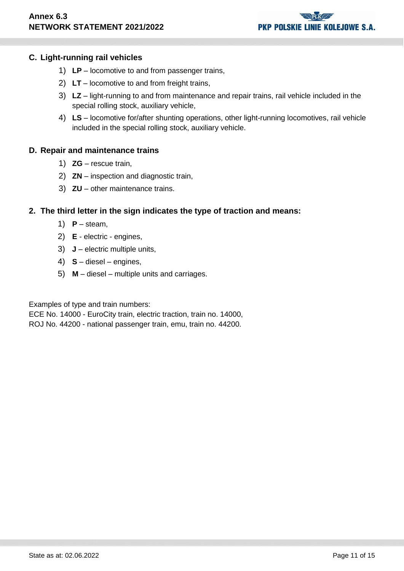# **PKP POLSKIE LINIE KOLEJOWE S.A.**

## **C. Light-running rail vehicles**

- 1) **LP** locomotive to and from passenger trains,
- 2) **LT** locomotive to and from freight trains,
- 3) **LZ** light-running to and from maintenance and repair trains, rail vehicle included in the special rolling stock, auxiliary vehicle,
- 4) **LS** locomotive for/after shunting operations, other light-running locomotives, rail vehicle included in the special rolling stock, auxiliary vehicle.

## **D. Repair and maintenance trains**

- 1) **ZG** rescue train,
- 2) **ZN** inspection and diagnostic train,
- 3) **ZU** other maintenance trains.

## **2. The third letter in the sign indicates the type of traction and means:**

- 1)  $P$  steam,
- 2) **E** electric engines,
- 3) **J** electric multiple units,
- 4) **S** diesel engines,
- 5) **M** diesel multiple units and carriages.

Examples of type and train numbers:

ECE No. 14000 - EuroCity train, electric traction, train no. 14000,

ROJ No. 44200 - national passenger train, emu, train no. 44200.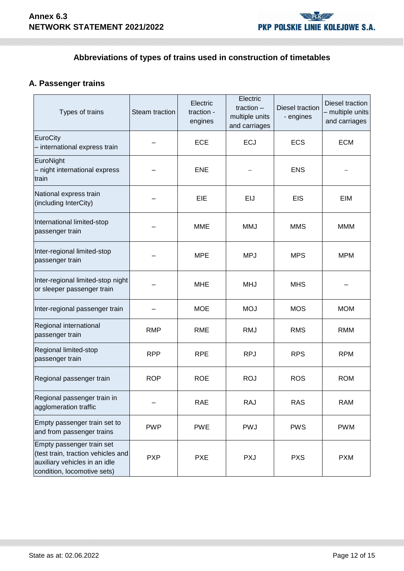# **Abbreviations of types of trains used in construction of timetables**

# **A. Passenger trains**

| Types of trains                                                                                                                 | Steam traction | Electric<br>traction -<br>engines | Electric<br>traction $-$<br>multiple units<br>and carriages | Diesel traction<br>- engines | Diesel traction<br>- multiple units<br>and carriages |
|---------------------------------------------------------------------------------------------------------------------------------|----------------|-----------------------------------|-------------------------------------------------------------|------------------------------|------------------------------------------------------|
| EuroCity<br>- international express train                                                                                       |                | <b>ECE</b>                        | <b>ECJ</b>                                                  | <b>ECS</b>                   | <b>ECM</b>                                           |
| EuroNight<br>- night international express<br>train                                                                             |                | <b>ENE</b>                        |                                                             | <b>ENS</b>                   |                                                      |
| National express train<br>(including InterCity)                                                                                 |                | EIE                               | EIJ                                                         | <b>EIS</b>                   | EIM                                                  |
| International limited-stop<br>passenger train                                                                                   |                | <b>MME</b>                        | <b>MMJ</b>                                                  | <b>MMS</b>                   | <b>MMM</b>                                           |
| Inter-regional limited-stop<br>passenger train                                                                                  |                | <b>MPE</b>                        | <b>MPJ</b>                                                  | <b>MPS</b>                   | <b>MPM</b>                                           |
| Inter-regional limited-stop night<br>or sleeper passenger train                                                                 |                | <b>MHE</b>                        | <b>MHJ</b>                                                  | <b>MHS</b>                   |                                                      |
| Inter-regional passenger train                                                                                                  |                | <b>MOE</b>                        | <b>MOJ</b>                                                  | <b>MOS</b>                   | <b>MOM</b>                                           |
| Regional international<br>passenger train                                                                                       | <b>RMP</b>     | <b>RME</b>                        | <b>RMJ</b>                                                  | <b>RMS</b>                   | <b>RMM</b>                                           |
| Regional limited-stop<br>passenger train                                                                                        | <b>RPP</b>     | <b>RPE</b>                        | <b>RPJ</b>                                                  | <b>RPS</b>                   | <b>RPM</b>                                           |
| Regional passenger train                                                                                                        | <b>ROP</b>     | <b>ROE</b>                        | <b>ROJ</b>                                                  | <b>ROS</b>                   | <b>ROM</b>                                           |
| Regional passenger train in<br>agglomeration traffic                                                                            |                | RAE                               | <b>RAJ</b>                                                  | <b>RAS</b>                   | <b>RAM</b>                                           |
| Empty passenger train set to<br>and from passenger trains                                                                       | <b>PWP</b>     | <b>PWE</b>                        | <b>PWJ</b>                                                  | <b>PWS</b>                   | <b>PWM</b>                                           |
| Empty passenger train set<br>(test train, traction vehicles and<br>auxiliary vehicles in an idle<br>condition, locomotive sets) | <b>PXP</b>     | <b>PXE</b>                        | <b>PXJ</b>                                                  | <b>PXS</b>                   | <b>PXM</b>                                           |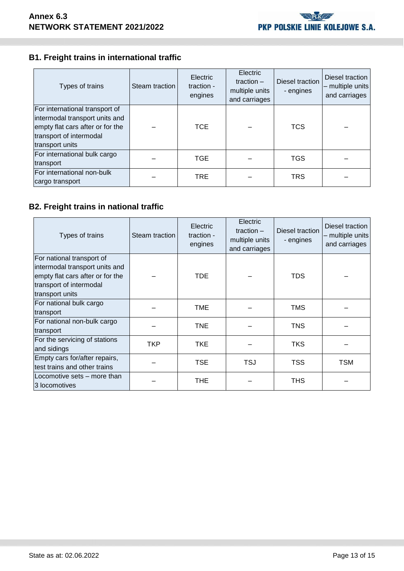# **B1. Freight trains in international traffic**

| Types of trains                                                                                                                                    | Steam traction | Electric<br>traction -<br>engines | Electric<br>traction $-$<br>multiple units<br>and carriages | Diesel traction<br>- engines | Diesel traction<br>multiple units<br>and carriages |
|----------------------------------------------------------------------------------------------------------------------------------------------------|----------------|-----------------------------------|-------------------------------------------------------------|------------------------------|----------------------------------------------------|
| For international transport of<br>intermodal transport units and<br>empty flat cars after or for the<br>transport of intermodal<br>transport units |                | <b>TCE</b>                        |                                                             | <b>TCS</b>                   |                                                    |
| For international bulk cargo<br>transport                                                                                                          |                | <b>TGE</b>                        |                                                             | <b>TGS</b>                   |                                                    |
| For international non-bulk<br>cargo transport                                                                                                      |                | TRE.                              |                                                             | <b>TRS</b>                   |                                                    |

# **B2. Freight trains in national traffic**

| Types of trains                  | Steam traction | Electric<br>traction -<br>engines | Electric<br>traction $-$<br>multiple units<br>and carriages | Diesel traction<br>- engines | Diesel traction<br>- multiple units<br>and carriages |
|----------------------------------|----------------|-----------------------------------|-------------------------------------------------------------|------------------------------|------------------------------------------------------|
| For national transport of        |                |                                   |                                                             |                              |                                                      |
| intermodal transport units and   |                |                                   |                                                             |                              |                                                      |
| empty flat cars after or for the |                | TDE.                              |                                                             | TDS                          |                                                      |
| transport of intermodal          |                |                                   |                                                             |                              |                                                      |
| transport units                  |                |                                   |                                                             |                              |                                                      |
| For national bulk cargo          |                | <b>TME</b>                        |                                                             | <b>TMS</b>                   |                                                      |
| transport                        |                |                                   |                                                             |                              |                                                      |
| For national non-bulk cargo      |                | <b>TNE</b>                        |                                                             | <b>TNS</b>                   |                                                      |
| transport                        |                |                                   |                                                             |                              |                                                      |
| For the servicing of stations    | TKP            | <b>TKE</b>                        |                                                             | <b>TKS</b>                   |                                                      |
| and sidings                      |                |                                   |                                                             |                              |                                                      |
| Empty cars for/after repairs,    |                | TSE.                              | <b>TSJ</b>                                                  | <b>TSS</b>                   | <b>TSM</b>                                           |
| test trains and other trains     |                |                                   |                                                             |                              |                                                      |
| Locomotive sets – more than      |                | <b>THE</b>                        |                                                             | <b>THS</b>                   |                                                      |
| 3 locomotives                    |                |                                   |                                                             |                              |                                                      |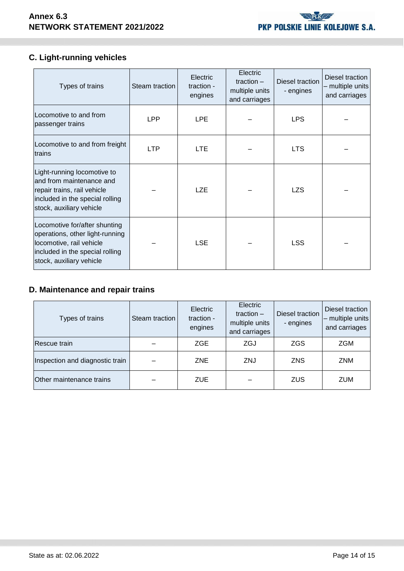

# **C. Light-running vehicles**

| Types of trains                                                                                                                                             | Steam traction | <b>Electric</b><br>traction -<br>engines | Electric<br>traction $-$<br>multiple units<br>and carriages | Diesel traction<br>- engines | Diesel traction<br>- multiple units<br>and carriages |
|-------------------------------------------------------------------------------------------------------------------------------------------------------------|----------------|------------------------------------------|-------------------------------------------------------------|------------------------------|------------------------------------------------------|
| Locomotive to and from<br>passenger trains                                                                                                                  | <b>LPP</b>     | <b>LPE</b>                               |                                                             | <b>LPS</b>                   |                                                      |
| Locomotive to and from freight<br>trains                                                                                                                    | <b>LTP</b>     | <b>LTE</b>                               |                                                             | <b>LTS</b>                   |                                                      |
| Light-running locomotive to<br>and from maintenance and<br>repair trains, rail vehicle<br>included in the special rolling<br>stock, auxiliary vehicle       |                | <b>LZE</b>                               |                                                             | <b>LZS</b>                   |                                                      |
| Locomotive for/after shunting<br>operations, other light-running<br>locomotive, rail vehicle<br>included in the special rolling<br>stock, auxiliary vehicle |                | <b>LSE</b>                               |                                                             | <b>LSS</b>                   |                                                      |

# **D. Maintenance and repair trains**

| Types of trains                 | Steam traction | <b>Electric</b><br>traction -<br>engines | Electric<br>traction $-$<br>multiple units<br>and carriages | Diesel traction<br>- engines | Diesel traction<br>$-$ multiple units<br>and carriages |
|---------------------------------|----------------|------------------------------------------|-------------------------------------------------------------|------------------------------|--------------------------------------------------------|
| Rescue train                    |                | ZGE                                      | ZGJ                                                         | <b>ZGS</b>                   | ZGM                                                    |
| Inspection and diagnostic train |                | ZNE                                      | ZNJ                                                         | <b>ZNS</b>                   | <b>ZNM</b>                                             |
| Other maintenance trains        |                | ZUE                                      |                                                             | <b>ZUS</b>                   | <b>ZUM</b>                                             |